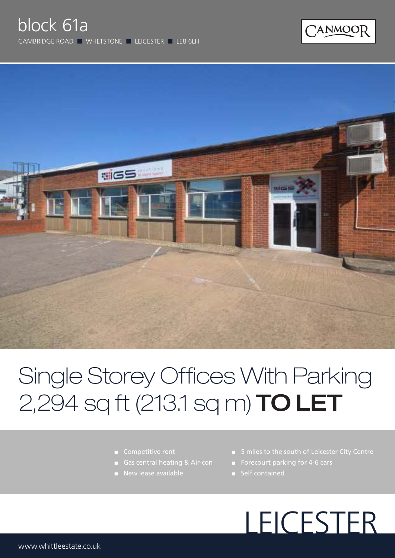



## Single Storey Offices With Parking 2,294 sq ft (213.1 sq m) **TO LET**

- Competitive rent
- 
- **New lease available**
- 5 miles to the south of Leicester City Centre
- Forecourt parking for 4-6 cars
- 

# LEICESTER